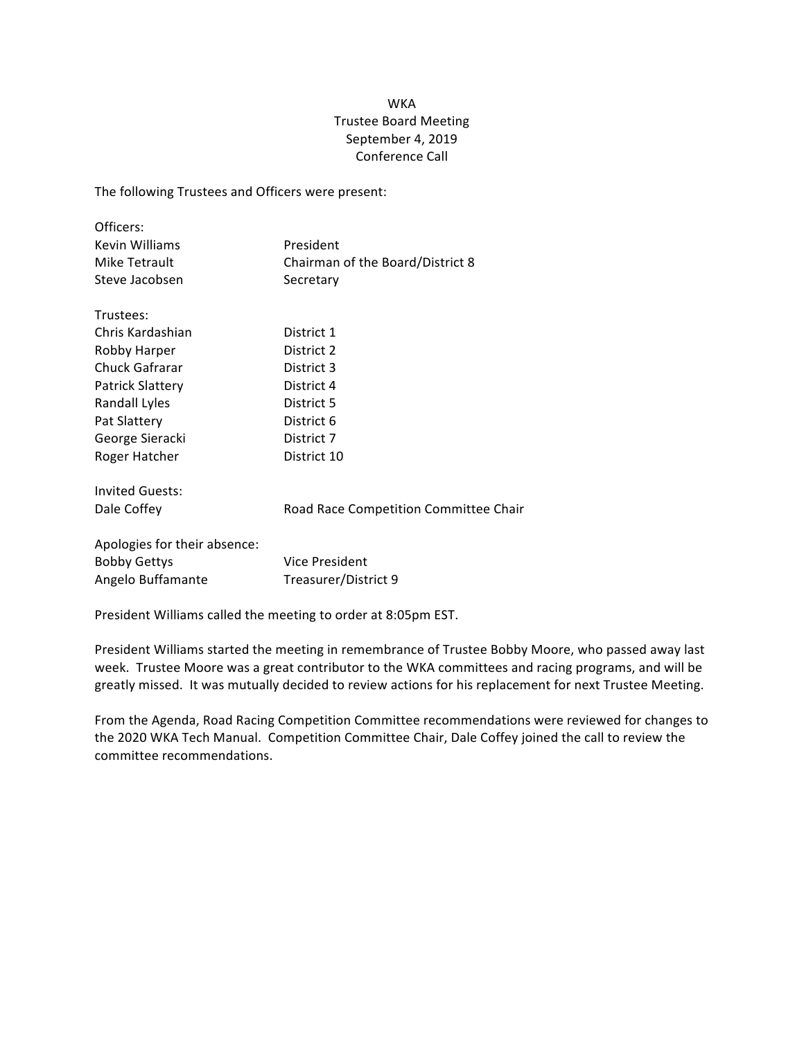## **WKA** Trustee Board Meeting September 4, 2019 Conference Call

The following Trustees and Officers were present:

| Officers:                       |                                               |
|---------------------------------|-----------------------------------------------|
| Kevin Williams                  | President                                     |
| Mike Tetrault<br>Steve Jacobsen | Chairman of the Board/District 8<br>Secretary |
|                                 |                                               |
| Chris Kardashian                | District 1                                    |
| Robby Harper                    | District 2                                    |
| Chuck Gafrarar                  | District 3                                    |
| <b>Patrick Slattery</b>         | District 4                                    |
| Randall Lyles                   | District 5                                    |
| Pat Slattery                    | District 6                                    |
| George Sieracki                 | District 7                                    |
| Roger Hatcher                   | District 10                                   |
| <b>Invited Guests:</b>          |                                               |
| Dale Coffey                     | Road Race Competition Committee Chair         |
| Apologies for their absence:    |                                               |
| <b>Bobby Gettys</b>             | Vice President                                |
| Angelo Buffamante               | Treasurer/District 9                          |

President Williams called the meeting to order at 8:05pm EST.

President Williams started the meeting in remembrance of Trustee Bobby Moore, who passed away last week. Trustee Moore was a great contributor to the WKA committees and racing programs, and will be greatly missed. It was mutually decided to review actions for his replacement for next Trustee Meeting.

From the Agenda, Road Racing Competition Committee recommendations were reviewed for changes to the 2020 WKA Tech Manual. Competition Committee Chair, Dale Coffey joined the call to review the committee recommendations.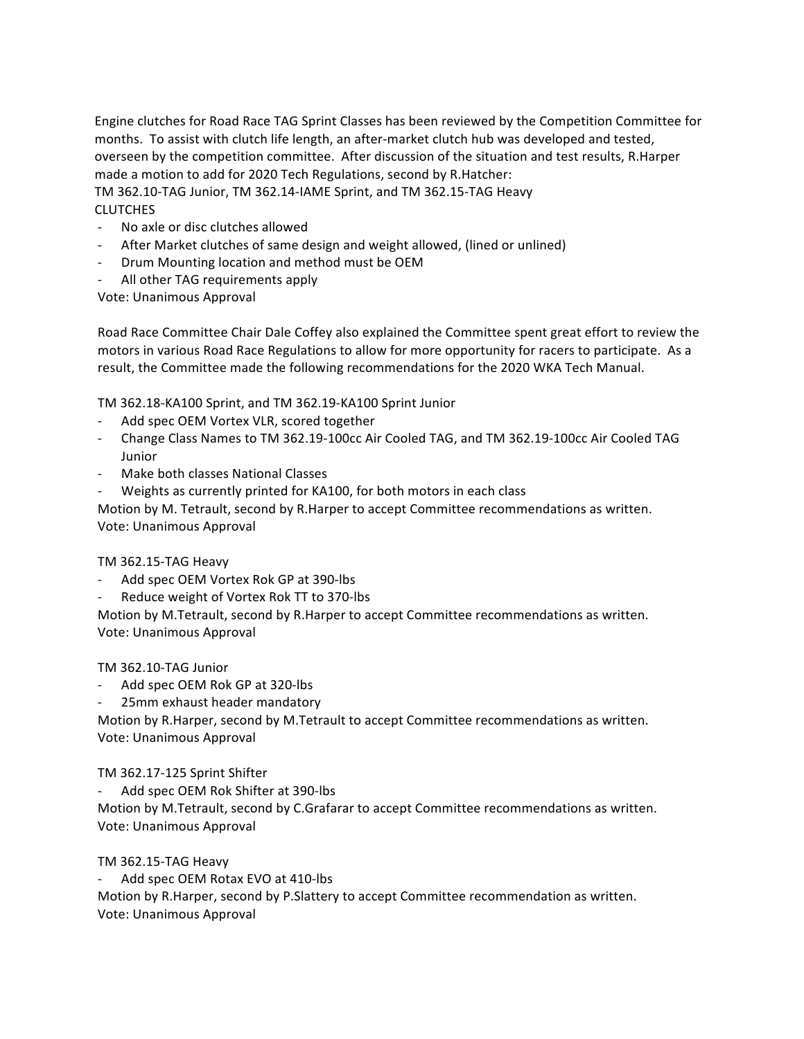Engine clutches for Road Race TAG Sprint Classes has been reviewed by the Competition Committee for months. To assist with clutch life length, an after-market clutch hub was developed and tested, overseen by the competition committee. After discussion of the situation and test results, R.Harper made a motion to add for 2020 Tech Regulations, second by R.Hatcher:

TM 362.10-TAG Junior, TM 362.14-IAME Sprint, and TM 362.15-TAG Heavy **CLUTCHES** 

- No axle or disc clutches allowed
- After Market clutches of same design and weight allowed, (lined or unlined)
- Drum Mounting location and method must be OEM
- All other TAG requirements apply

Vote: Unanimous Approval

Road Race Committee Chair Dale Coffey also explained the Committee spent great effort to review the motors in various Road Race Regulations to allow for more opportunity for racers to participate. As a result, the Committee made the following recommendations for the 2020 WKA Tech Manual.

TM 362.18-KA100 Sprint, and TM 362.19-KA100 Sprint Junior

- Add spec OEM Vortex VLR, scored together
- Change Class Names to TM 362.19-100cc Air Cooled TAG, and TM 362.19-100cc Air Cooled TAG Junior
- Make both classes National Classes
- Weights as currently printed for KA100, for both motors in each class

Motion by M. Tetrault, second by R.Harper to accept Committee recommendations as written. Vote: Unanimous Approval

## TM 362.15-TAG Heavy

- Add spec OEM Vortex Rok GP at 390-lbs
- Reduce weight of Vortex Rok TT to 370-lbs

Motion by M.Tetrault, second by R.Harper to accept Committee recommendations as written. Vote: Unanimous Approval

TM 362.10-TAG Junior

- Add spec OEM Rok GP at 320-lbs
- 25mm exhaust header mandatory

Motion by R.Harper, second by M.Tetrault to accept Committee recommendations as written. Vote: Unanimous Approval

TM 362.17-125 Sprint Shifter

Add spec OEM Rok Shifter at 390-lbs

Motion by M.Tetrault, second by C.Grafarar to accept Committee recommendations as written. Vote: Unanimous Approval

TM 362.15-TAG Heavy

Add spec OEM Rotax EVO at 410-lbs Motion by R.Harper, second by P.Slattery to accept Committee recommendation as written. Vote: Unanimous Approval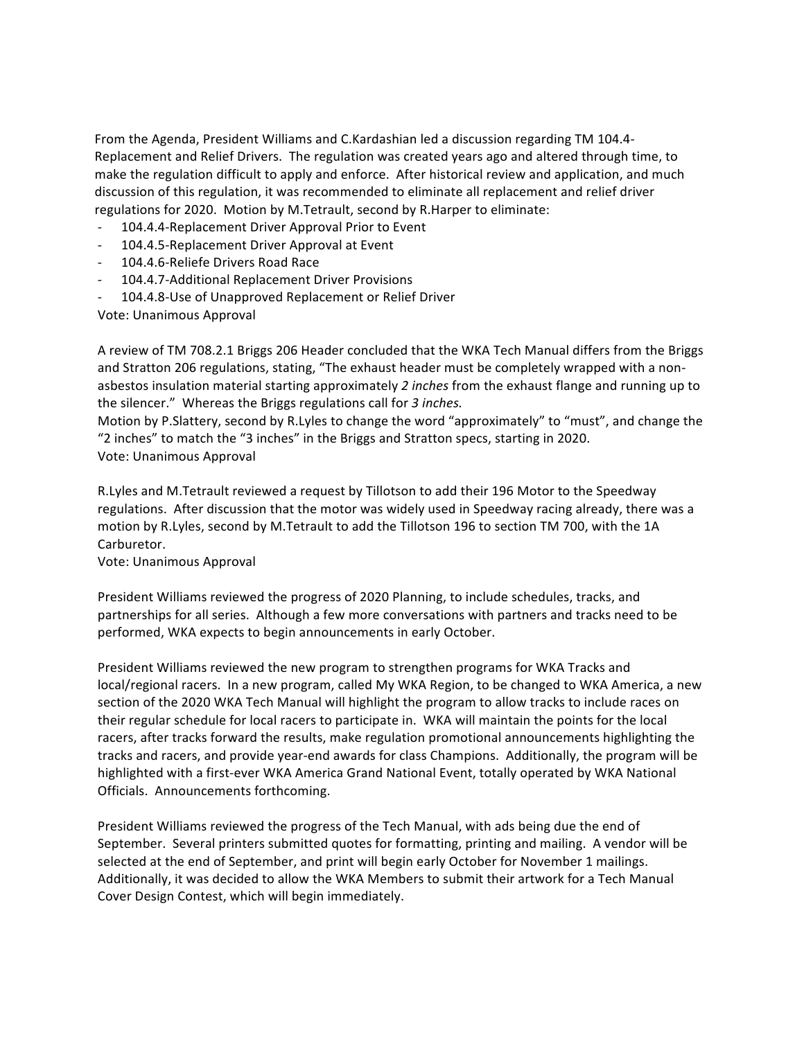From the Agenda, President Williams and C.Kardashian led a discussion regarding TM 104.4-Replacement and Relief Drivers. The regulation was created years ago and altered through time, to make the regulation difficult to apply and enforce. After historical review and application, and much discussion of this regulation, it was recommended to eliminate all replacement and relief driver regulations for 2020. Motion by M.Tetrault, second by R.Harper to eliminate:

- 104.4.4-Replacement Driver Approval Prior to Event
- 104.4.5-Replacement Driver Approval at Event
- 104.4.6-Reliefe Drivers Road Race
- 104.4.7-Additional Replacement Driver Provisions
- 104.4.8-Use of Unapproved Replacement or Relief Driver

Vote: Unanimous Approval

A review of TM 708.2.1 Briggs 206 Header concluded that the WKA Tech Manual differs from the Briggs and Stratton 206 regulations, stating, "The exhaust header must be completely wrapped with a nonasbestos insulation material starting approximately 2 *inches* from the exhaust flange and running up to the silencer." Whereas the Briggs regulations call for 3 inches.

Motion by P.Slattery, second by R.Lyles to change the word "approximately" to "must", and change the "2 inches" to match the "3 inches" in the Briggs and Stratton specs, starting in 2020. Vote: Unanimous Approval

R.Lyles and M.Tetrault reviewed a request by Tillotson to add their 196 Motor to the Speedway regulations. After discussion that the motor was widely used in Speedway racing already, there was a motion by R.Lyles, second by M.Tetrault to add the Tillotson 196 to section TM 700, with the 1A Carburetor.

Vote: Unanimous Approval

President Williams reviewed the progress of 2020 Planning, to include schedules, tracks, and partnerships for all series. Although a few more conversations with partners and tracks need to be performed, WKA expects to begin announcements in early October.

President Williams reviewed the new program to strengthen programs for WKA Tracks and local/regional racers. In a new program, called My WKA Region, to be changed to WKA America, a new section of the 2020 WKA Tech Manual will highlight the program to allow tracks to include races on their regular schedule for local racers to participate in. WKA will maintain the points for the local racers, after tracks forward the results, make regulation promotional announcements highlighting the tracks and racers, and provide year-end awards for class Champions. Additionally, the program will be highlighted with a first-ever WKA America Grand National Event, totally operated by WKA National Officials. Announcements forthcoming.

President Williams reviewed the progress of the Tech Manual, with ads being due the end of September. Several printers submitted quotes for formatting, printing and mailing. A vendor will be selected at the end of September, and print will begin early October for November 1 mailings. Additionally, it was decided to allow the WKA Members to submit their artwork for a Tech Manual Cover Design Contest, which will begin immediately.